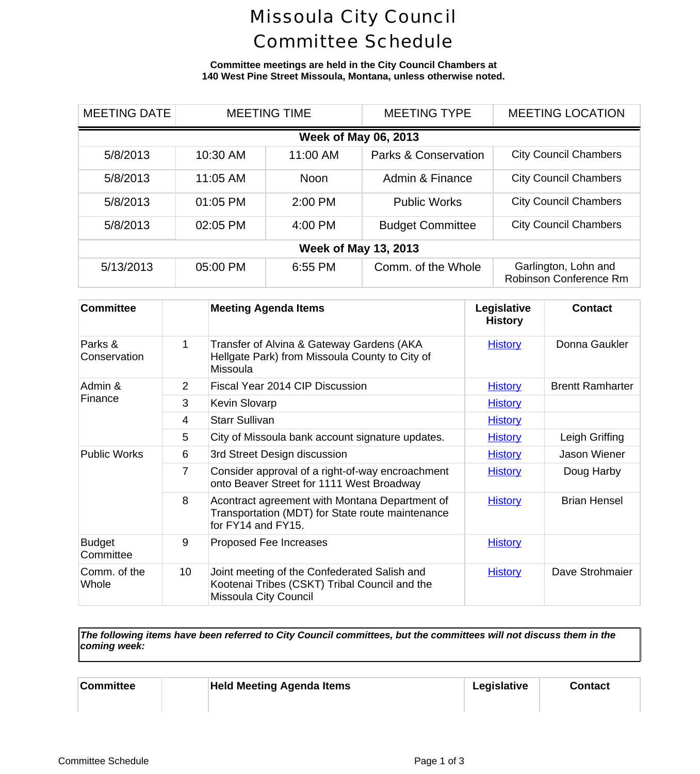## Missoula City Council Committee Schedule

### **Committee meetings are held in the City Council Chambers at 140 West Pine Street Missoula, Montana, unless otherwise noted.**

| <b>MEETING DATE</b>         | <b>MEETING TIME</b> |          | <b>MEETING TYPE</b>             |                                       | <b>MEETING LOCAL</b> |  |
|-----------------------------|---------------------|----------|---------------------------------|---------------------------------------|----------------------|--|
| <b>Week of May 06, 2013</b> |                     |          |                                 |                                       |                      |  |
| 5/8/2013                    | 10:30 AM            | 11:00 AM | <b>Parks &amp; Conservation</b> | <b>City Council Cham</b>              |                      |  |
| 5/8/2013                    | 11:05 AM            | Noon     | Admin & Finance                 | <b>City Council Cham</b>              |                      |  |
| 5/8/2013                    | 01:05 PM            | 2:00 PM  | <b>Public Works</b>             | <b>City Council Cham</b>              |                      |  |
| 5/8/2013                    | 02:05 PM            | 4:00 PM  | <b>Budget Committee</b>         | <b>City Council Cham</b>              |                      |  |
| <b>Week of May 13, 2013</b> |                     |          |                                 |                                       |                      |  |
| 5/13/2013                   | 05:00 PM            | 6:55 PM  | Comm. of the Whole              | Garlington, Lohn<br>Robinson Conferen |                      |  |

| <b>Committee</b>           |                | <b>Meeting Agenda Items</b>                                                                                              | Legislative<br><b>History</b> | <b>Conti</b>      |
|----------------------------|----------------|--------------------------------------------------------------------------------------------------------------------------|-------------------------------|-------------------|
| Parks &<br>Conservation    | 1              | Transfer of Alvina & Gateway Gardens (AKA<br>Hellgate Park) from Missoula County to City of<br>Missoula                  | <b>History</b>                | Donna G           |
| Admin &<br>Finance         | 2              | Fiscal Year 2014 CIP Discussion                                                                                          | <b>History</b>                | <b>Brentt Rar</b> |
|                            | 3              | <b>Kevin Slovarp</b>                                                                                                     | <b>History</b>                |                   |
|                            | 4              | <b>Starr Sullivan</b>                                                                                                    | <b>History</b>                |                   |
|                            | 5              | City of Missoula bank account signature updates.                                                                         | <b>History</b>                | Leigh G           |
| <b>Public Works</b>        | 6              | 3rd Street Design discussion                                                                                             | <b>History</b>                | Jason W           |
|                            | $\overline{7}$ | Consider approval of a right-of-way encroachment<br>onto Beaver Street for 1111 West Broadway                            | <b>History</b>                | Doug H            |
|                            | 8              | Acontract agreement with Montana Department of<br>Transportation (MDT) for State route maintenance<br>for FY14 and FY15. | <b>History</b>                | Brian H           |
| <b>Budget</b><br>Committee | 9              | Proposed Fee Increases                                                                                                   | <b>History</b>                |                   |
| Comm. of the<br>Whole      | 10             | Joint meeting of the Confederated Salish and<br>Kootenai Tribes (CSKT) Tribal Council and the<br>Missoula City Council   | <b>History</b>                | Dave Strd         |

*The following items have been referred to City Council committees, but the committees will not discuss them in the coming week:*

| <b>Committee</b> | <b>Held Meeting Agenda Items</b> | Legislative | Conta |
|------------------|----------------------------------|-------------|-------|
|                  |                                  |             |       |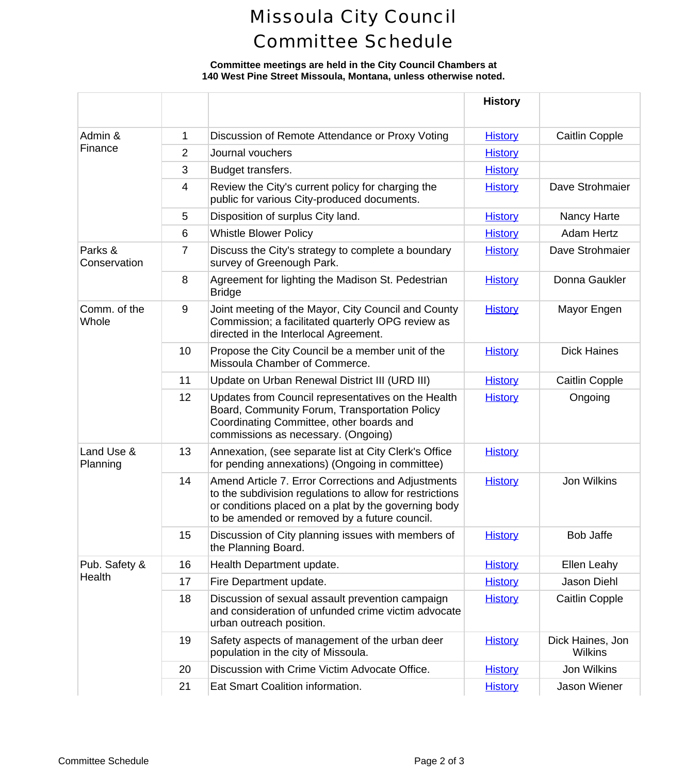# Missoula City Council Committee Schedule

### **Committee meetings are held in the City Council Chambers at 140 West Pine Street Missoula, Montana, unless otherwise noted.**

|                         |                |                                                                                                                                                                                                                         | <b>History</b> |                             |
|-------------------------|----------------|-------------------------------------------------------------------------------------------------------------------------------------------------------------------------------------------------------------------------|----------------|-----------------------------|
| Admin &                 | 1              | Discussion of Remote Attendance or Proxy Voting                                                                                                                                                                         | <b>History</b> | Caitlin C                   |
| Finance                 | $\overline{2}$ | Journal vouchers                                                                                                                                                                                                        | <b>History</b> |                             |
|                         | 3              | Budget transfers.                                                                                                                                                                                                       | <b>History</b> |                             |
|                         | 4              | Review the City's current policy for charging the<br>public for various City-produced documents.                                                                                                                        | <b>History</b> | Dave Stro                   |
|                         | 5              | Disposition of surplus City land.                                                                                                                                                                                       | <b>History</b> | Nancy H                     |
|                         | 6              | <b>Whistle Blower Policy</b>                                                                                                                                                                                            | <b>History</b> | Adam H                      |
| Parks &<br>Conservation | 7              | Discuss the City's strategy to complete a boundary<br>survey of Greenough Park.                                                                                                                                         | <b>History</b> | Dave Stro                   |
|                         | 8              | Agreement for lighting the Madison St. Pedestrian<br><b>Bridge</b>                                                                                                                                                      | <b>History</b> | Donna G                     |
| Comm. of the<br>Whole   | 9              | Joint meeting of the Mayor, City Council and County<br>Commission; a facilitated quarterly OPG review as<br>directed in the Interlocal Agreement.                                                                       | <b>History</b> | Mayor E                     |
|                         | 10             | Propose the City Council be a member unit of the<br>Missoula Chamber of Commerce.                                                                                                                                       | <b>History</b> | Dick Ha                     |
|                         | 11             | Update on Urban Renewal District III (URD III)                                                                                                                                                                          | <b>History</b> | Caitlin C                   |
|                         | 12             | Updates from Council representatives on the Health<br>Board, Community Forum, Transportation Policy<br>Coordinating Committee, other boards and<br>commissions as necessary. (Ongoing)                                  | <b>History</b> | Ongoi                       |
| Land Use &<br>Planning  | 13             | Annexation, (see separate list at City Clerk's Office<br>for pending annexations) (Ongoing in committee)                                                                                                                | <b>History</b> |                             |
|                         | 14             | Amend Article 7. Error Corrections and Adjustments<br>to the subdivision regulations to allow for restrictions<br>or conditions placed on a plat by the governing body<br>to be amended or removed by a future council. | <b>History</b> | Jon Wil                     |
|                         | 15             | Discussion of City planning issues with members of<br>the Planning Board.                                                                                                                                               | <b>History</b> | Bob Ja                      |
| Pub. Safety &           | 16             | Health Department update.                                                                                                                                                                                               | <b>History</b> | Ellen Le                    |
| Health                  | 17             | Fire Department update.                                                                                                                                                                                                 | <b>History</b> | Jason D                     |
|                         | 18             | Discussion of sexual assault prevention campaign<br>and consideration of unfunded crime victim advocate<br>urban outreach position.                                                                                     | <b>History</b> | Caitlin C                   |
|                         | 19             | Safety aspects of management of the urban deer<br>population in the city of Missoula.                                                                                                                                   | <b>History</b> | <b>Dick Haine</b><br>Wilkir |
|                         | 20             | Discussion with Crime Victim Advocate Office.                                                                                                                                                                           | <b>History</b> | Jon Wil                     |
|                         | 21             | Eat Smart Coalition information.                                                                                                                                                                                        | <b>History</b> | Jason W                     |